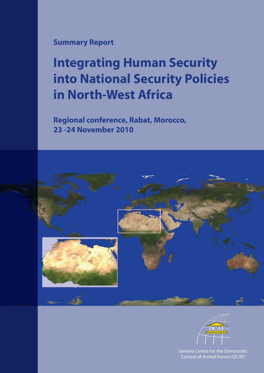### **Summary Report**

# **Integrating Human Security into National Security Policies in North-West Africa**

**Regional conference, Rabat, Morocco, 23 -24 November 2010**





Geneva Centre for the Democratic Control of Armed Forces (DCAF)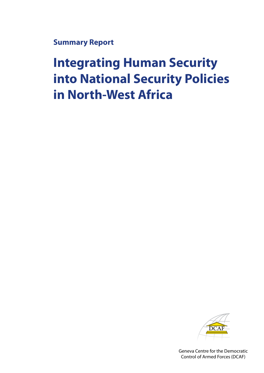**Summary Report**

# **Integrating Human Security into National Security Policies in North-West Africa**



Geneva Centre for the Democratic Control of Armed Forces (DCAF)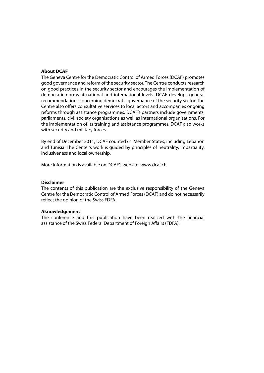#### **About DCAF**

The Geneva Centre for the Democratic Control of Armed Forces (DCAF) promotes good governance and reform of the security sector. The Centre conducts research on good practices in the security sector and encourages the implementation of democratic norms at national and international levels. DCAF develops general recommendations concerning democratic governance of the security sector. The Centre also offers consultative services to local actors and accompanies ongoing reforms through assistance programmes. DCAF's partners include governments, parliaments, civil society organisations as well as international organisations. For the implementation of its training and assistance programmes, DCAF also works with security and military forces.

By end of December 2011, DCAF counted 61 Member States, including Lebanon and Tunisia. The Center's work is guided by principles of neutrality, impartiality, inclusiveness and local ownership.

More information is available on DCAF's website: www.dcaf.ch

#### **Disclaimer**

The contents of this publication are the exclusive responsibility of the Geneva Centre for the Democratic Control of Armed Forces (DCAF) and do not necessarily reflect the opinion of the Swiss FDFA.

#### **Aknowledgement**

The conference and this publication have been realized with the financial assistance of the Swiss Federal Department of Foreign Affairs (FDFA).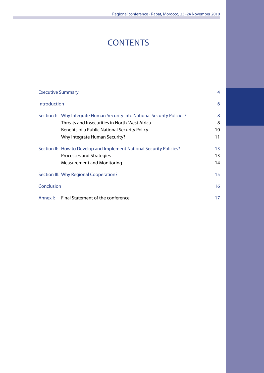# **CONTENTS**

|              | <b>Executive Summary</b>                                                 | $\overline{4}$ |
|--------------|--------------------------------------------------------------------------|----------------|
| Introduction |                                                                          | 6              |
|              | Section I: Why Integrate Human Security into National Security Policies? | 8              |
|              | Threats and Insecurities in North-West Africa                            | 8              |
|              | Benefits of a Public National Security Policy                            | 10             |
|              | Why Integrate Human Security?                                            | 11             |
|              | Section II: How to Develop and Implement National Security Policies?     | 13             |
|              | Processes and Strategies                                                 | 13             |
|              | <b>Measurement and Monitoring</b>                                        | 14             |
|              | Section III: Why Regional Cooperation?                                   | 15             |
| Conclusion   |                                                                          | 16             |
| Annex I:     | Final Statement of the conference                                        | 17             |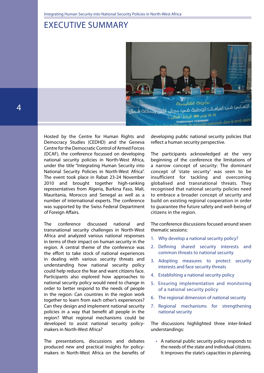### Executive Summary



Hosted by the Centre for Human Rights and Democracy Studies (CEDHD) and the Geneva Centre for the Democratic Control of Armed Forces (DCAF), the conference focussed on developing national security policies in North-West Africa, under the title "Integrating Human Security into National Security Policies in North-West Africa". The event took place in Rabat 23-24 November 2010 and brought together high-ranking representatives from Algeria, Burkina Faso, Mali, Mauritania, Morocco and Senegal as well as a number of international experts. The conference was supported by the Swiss Federal Department of Foreign Affairs.

The conference discussed national and transnational security challenges in North-West Africa and analyzed various national responses in terms of their impact on human security in the region. A central theme of the conference was the effort to take stock of national experiences in dealing with various security threats and understanding how national security policy could help reduce the fear and want citizens face. Participants also explored how approaches to national security policy would need to change in order to better respond to the needs of people in the region: Can countries in the region work together to learn from each other's experiences? Can they design and implement national security policies in a way that benefit all people in the region? What regional mechanisms could be developed to assist national security policymakers in North-West Africa?

The presentations, discussions and debates produced new and practical insights for policymakers in North-West Africa on the benefits of

developing public national security policies that reflect a human security perspective.

The participants acknowledged at the very beginning of the conference the limitations of a narrow concept of security: The dominant concept of 'state security' was seen to be insufficient for tackling and overcoming globalised and transnational threats. They recognised that national security policies need to embrace a broader concept of security and build on existing regional cooperation in order to guarantee the future safety and well-being of citizens in the region.

The conference discussions focused around seven thematic sessions:

- 1. Why develop a national security policy?
- 2. Defining shared security interests and common threats to national security
- 3. Adopting measures to protect security interests and face security threats
- 4. Establishing a national security policy
- 5. Ensuring implementation and monitoring of a national security policy
- 6. The regional dimension of national security
- 7. Regional mechanisms for strengthening national security

The discussions highlighted three inter-linked understandings:

• A national public security policy responds to the needs of the state and individual citizens. It improves the state's capacities in planning,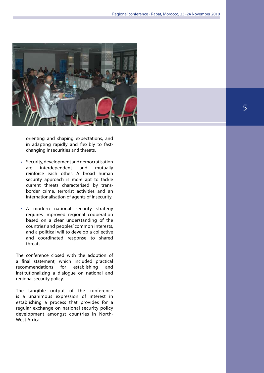

orienting and shaping expectations, and in adapting rapidly and flexibly to fastchanging insecurities and threats.

- Security, development and democratisation are interdependent and mutually reinforce each other. A broad human security approach is more apt to tackle current threats characterised by transborder crime, terrorist activities and an internationalisation of agents of insecurity.
- A modern national security strategy requires improved regional cooperation based on a clear understanding of the countries' and peoples' common interests, and a political will to develop a collective and coordinated response to shared threats.

The conference closed with the adoption of a final statement, which included practical recommendations for establishing and institutionalizing a dialogue on national and regional security policy.

The tangible output of the conference is a unanimous expression of interest in establishing a process that provides for a regular exchange on national security policy development amongst countries in North-West Africa.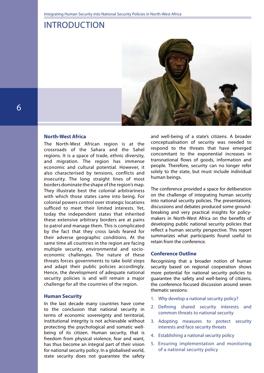### **INTRODUCTION**



#### **North-West Africa**

The North-West African region is at the crossroads of the Sahara and the Sahel regions. It is a space of trade, ethnic diversity, and migration. The region has immense economic and cultural potential. However, it also characterised by tensions, conflicts and insecurity. The long straight lines of most borders dominate the shape of the region's map. They illustrate best the colonial arbitrariness with which those states came into being. For colonial powers control over strategic locations sufficed to meet their limited interests. Yet, today the independent states that inherited these extensive arbitrary borders are at pains to patrol and manage them. This is complicated by the fact that they cross lands feared for their adverse geographic conditions. At the same time all countries in the region are facing multiple security, environmental and socioeconomic challenges. The nature of these threats forces governments to take bold steps and adapt their public policies accordingly. Hence, the development of adequate national security policies is and will remain a major challenge for all the countries of the region.

#### **Human Security**

In the last decade many countries have come to the conclusion that national security in terms of economic sovereignty and territorial, institutional integrity is not achievable without protecting the psychological and somatic wellbeing of its citizen. Human security, that is freedom from physical violence, fear and want, has thus become an integral part of their vision for national security policy. In a globalised world, state security does not guarantee the safety

and well-being of a state's citizens. A broader conceptualisation of security was needed to respond to the threats that have emerged concomitant to the exponential increases in transnational flows of goods, information and people. Therefore, security can no longer refer solely to the state, but must include individual human beings.

The conference provided a space for deliberation on the challenge of integrating human security into national security policies. The presentations, discussions and debates produced some groundbreaking and very practical insights for policymakers in North-West Africa on the benefits of developing public national security policies that reflect a human security perspective. This report summarizes what participants found useful to retain from the conference.

#### **Conference Outline**

Recognising that a broader notion of human security based on regional cooperation shows more potential for national security policies to guarantee the safety and well-being of citizens, the conference focused discussion around seven thematic sessions:

- 1. Why develop a national security policy?
- 2. Defining shared security interests and common threats to national security
- 3. Adopting measures to protect security interests and face security threats
- 4. Establishing a national security policy
- 5. Ensuring implementation and monitoring of a national security policy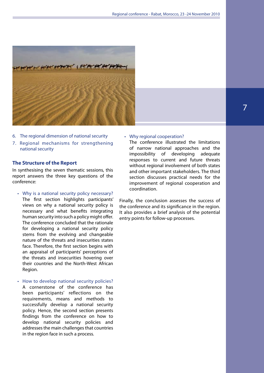

- 6. The regional dimension of national security
- 7. Regional mechanisms for strengthening national security

#### **The Structure of the Report**

In synthesising the seven thematic sessions, this report answers the three key questions of the conference:

- Why is a national security policy necessary? The first section highlights participants' views on why a national security policy is necessary and what benefits integrating human security into such a policy might offer. The conference concluded that the rationale for developing a national security policy stems from the evolving and changeable nature of the threats and insecurities states face. Therefore, the first section begins with an appraisal of participants' perceptions of the threats and insecurities hovering over their countries and the North-West African Region.
- How to develop national security policies? A cornerstone of the conference has been participants' reflections on the requirements, means and methods to successfully develop a national security policy. Hence, the second section presents findings from the conference on how to develop national security policies and addresses the main challenges that countries in the region face in such a process.

#### • Why regional cooperation?

The conference illustrated the limitations of narrow national approaches and the impossibility of developing adequate responses to current and future threats without regional involvement of both states and other important stakeholders. The third section discusses practical needs for the improvement of regional cooperation and coordination.

Finally, the conclusion assesses the success of the conference and its significance in the region. It also provides a brief analysis of the potential entry points for follow-up processes.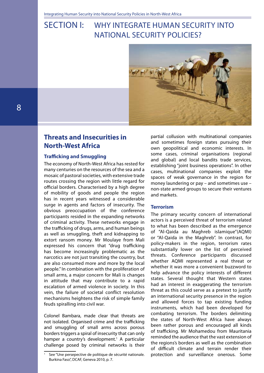# SECTION I: WHY INTEGRATE HUMAN SECURITY INTO National Security Policies?



### **Threats and Insecurities in North-West Africa**

#### **Trafficking and Smuggling**

The economy of North-West Africa has rested for many centuries on the resources of the sea and a mosaic of pastoral societies, with extensive trade routes crossing the region with little regard for official borders. Characterised by a high degree of mobility of goods and people the region has in recent years witnessed a considerable surge in agents and factors of insecurity. The obvious preoccupation of the conference participants resided in the expanding networks of criminal activity. These networks engage in the trafficking of drugs, arms, and human beings as well as smuggling, theft and kidnapping to extort ransom money. Mr Moulaye from Mali expressed his concern that "drug trafficking has become increasingly problematic as the narcotics are not just transiting the country, but are also consumed more and more by the local people." In combination with the proliferation of small arms, a major concern for Mali is changes in attitude that may contribute to a rapid escalation of armed violence in society. In this vein, the failure of societal conflict resolution mechanisms heightens the risk of simple family feuds spiralling into civil war.

Colonel Bambara, made clear that threats are not isolated. Organised crime and the trafficking and smuggling of small arms across porous borders triggers a spiral of insecurity that can only hamper a country's development.<sup>1</sup> A particular challenge posed by criminal networks is their

partial collusion with multinational companies and sometimes foreign states pursuing their own geopolitical and economic interests. In some cases, criminal organisations (regional and global) and local bandits trade services, establishing "joint business operations". In other cases, multinational companies exploit the spaces of weak governance in the region for money laundering or pay – and sometimes use – non-state armed groups to secure their ventures and markets.

#### **Terrorism**

The primary security concern of international actors is a perceived threat of terrorism related to what has been described as the emergence of "Al-Qaida au Maghreb islamique"(AQMI) or "Al-Qaida in the Maghreb". In contrast, for policy-makers in the region, terrorism rates substantially lower on the list of perceived threats. Conference participants discussed whether AQMI represented a real threat or whether it was more a convenient buzzword to help advance the policy interests of different states. Several thought that Western states had an interest in exaggerating the terrorism threat as this could serve as a pretext to justify an international security presence in the region and allowed forces to tap existing funding instruments, which had been developed for combating terrorism. The borders delimiting the states of North-West Africa have always been rather porous and encouraged all kinds of trafficking. Mr Mohamedou from Mauritania reminded the audience that the vast extension of the regions's borders as well as the combination of difficult climate and terrain render their protection and surveillance onerous. Some

See "Une persepective de politique de sécurité nationale. Burkina Faso", DCAF, Geneva 2010, p. 7.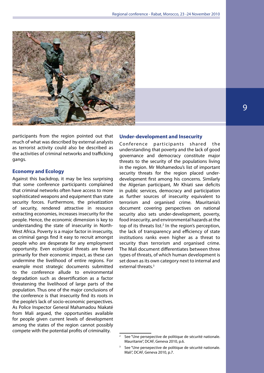

participants from the region pointed out that much of what was described by external analysts as terrorist activity could also be described as the activities of criminal networks and trafficking gangs.

#### **Economy and Ecology**

Against this backdrop, it may be less surprising that some conference participants complained that criminal networks often have access to more sophisticated weapons and equipment than state security forces. Furthermore, the privatization of security, rendered attractive in resource extracting economies, increases insecurity for the people. Hence, the economic dimension is key to understanding the state of insecurity in North-West Africa. Poverty is a major factor in insecurity, as criminal gangs find it easy to recruit amongst people who are desperate for any employment opportunity. Even ecological threats are feared primarily for their economic impact, as these can undermine the livelihood of entire regions. For example most strategic documents submitted to the conference allude to environmental degradation such as desertification as a factor threatening the livelihood of large parts of the population. Thus one of the major conclusions of the conference is that insecurity find its roots in the people's lack of socio-economic perspectives. As Police Inspector General Mahamadou Niakaté from Mali argued, the opportunities available for people given current levels of development among the states of the region cannot possibly compete with the potential profits of criminality.

#### **Under-development and Insecurity**

Conference participants shared the understanding that poverty and the lack of good governance and democracy constitute major threats to the security of the populations living in the region. Mr Mohamedou's list of important security threats for the region placed underdevelopment first among his concerns. Similarly the Algerian participant, Mr Khiati saw deficits in public services, democracy and participation as further sources of insecurity equivalent to terrorism and organised crime. Mauritania's document covering perspectives on national security also sets under-development, poverty, food insecurity, and environmental hazards at the top of its threats list. $2$  In the region's perception, the lack of transparency and efficiency of state institutions ranks even higher as a threat to security than terrorism and organised crime. The Mali document differentiates between three types of threats, of which human development is set down as its own category next to internal and external threats.3

See "Une persepective de politique de sécurité nationale. Mauritanie", DCAF, Geneva 2010, p.6.

<sup>3</sup> See "Une persepective de politique de sécurité nationale. Mali", DCAF, Geneva 2010, p.7.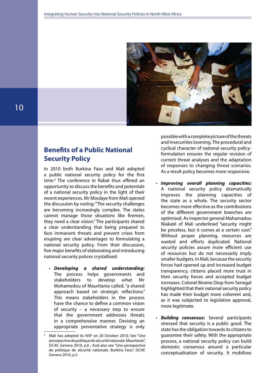

### **Benefits of a Public National Security Policy**

In 2010 both Burkina Faso and Mali adopted a public national security policy for the first time.4 The conference in Rabat thus offered an opportunity to discuss the benefits and potentials of a national security policy in the light of their recent experiences. Mr Moulaye from Mali opened the discussion by noting: "The security challenges are becoming increasingly complex. The states cannot manage those situations like firemen, they need a clear vision." The participants shared a clear understanding that being prepared to face immanent threats and prevent crises from erupting are clear advantages to formulating a national security policy. From their discussion, five major benefits of elaborating and introducing national security polices crystallised:

• *Developing a shared understanding:* The process helps governments and stakeholders to develop what Mr Mohamedou of Mauritania called, "a shared approach based on strategic reflections." This means stakeholders in the process have the chance to define a common vision of security – a necessary step to ensure that the government addresses threats in a comprehensive manner. Devising an appropriate preventative strategy is only possible with a complete picture of the threats and insecurities looming. The procedural and cyclical character of national security policyformulation ensures the regular revision of current threat analyses and the adaptation of responses to changing threat scenarios. As a result policy becomes more responsive.

- *Improving overall planning capacities:*  A national security policy dramatically improves the planning capacities of the state as a whole. The security sector becomes more effective as the contributions of the different government branches are optimised. As inspector general Mahamadou Niakaté of Mali underlined "security might be priceless, but it comes at a certain cost." Without proper planning, resources are wasted and efforts duplicated. National security policies assure more efficient use of resources but do not necessarily imply smaller budgets. In Mali, because the security forces had opened up and increased budget transparency, citizens placed more trust in their security forces and accepted budget increases. Colonel Birame Diop from Senegal highlighted that their national security policy has made their budget more coherent and, as it was subjected to legislative approval, more legitimate.
- **Building consensus:** Several participants stressed that security is a public good. The state has the obligation towards its citizens to guarantee their safety. With the appropriate process, a national security policy can build domestic consensus around a particular conceptualisation of security. It mobilises

Mali has adopted its NSP on 20 October 2010; See "Une persepective de politique de sécurité nationale. Mauritanie", DCAF, Geneva 2010, p.6 ; And also see "Une persepective de politique de sécurité nationale. Burkina Faso", DCAF, Geneva 2010, p.5.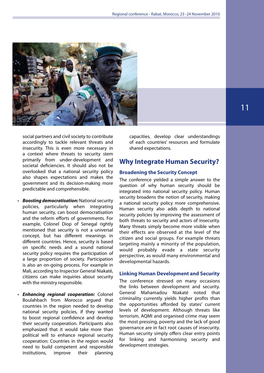

social partners and civil society to contribute accordingly to tackle relevant threats and insecurity. This is even more necessary in a context where threats to security stem primarily from under-development and societal deficiencies. It should also not be overlooked that a national security policy also shapes expectations and makes the government and its decision-making more predictable and comprehensible.

- • *Boosting democratisation:* National security policies, particularly when integrating human security, can boost democratisation and the reform efforts of governments. For example, Colonel Diop of Senegal rightly mentioned that security is not a universal concept, but has different meanings in different countries. Hence, security is based on specific needs and a sound national security policy requires the participation of a large proportion of society. Participation is also an on-going process. For example in Mali, according to Inspector General Niakaté, citizens can make inquiries about security with the ministry responsible.
- • *Enhancing regional cooperation:* Colonel Boulahbach from Morocco argued that countries in the region needed to develop national security policies, if they wanted to boost regional confidence and develop their security cooperation. Participants also emphasized that it would take more than political will to enhance regional security cooperation: Countries in the region would need to build competent and responsible institutions, improve their planning

capacities, develop clear understandings of each countries' resources and formulate shared expectations.

### **Why Integrate Human Security?**

#### **Broadening the Security Concept**

The conference yielded a simple answer to the question of why human security should be integrated into national security policy. Human security broadens the notion of security, making a national security policy more comprehensive. Human security also adds depth to national security policies by improving the assessment of both threats to security and actors of insecurity. Many threats simply become more visible when their effects are observed at the level of the citizen and social groups. For example threats targeting mainly a minority of the population, would probably evade a state security perspective, as would many environmental and developmental hazards.

#### **Linking Human Development and Security**

The conference stressed on many occasions the links between development and security. General Mahamadou Niakaté noted that criminality currently yields higher profits than the opportunities afforded by states' current levels of development. Although threats like terrorism, AQMI and organised crime may seem the most pressing, poverty and the lack of good governance are in fact root causes of insecurity. Human security simply offers clear entry points for linking and harmonising security and development strategies.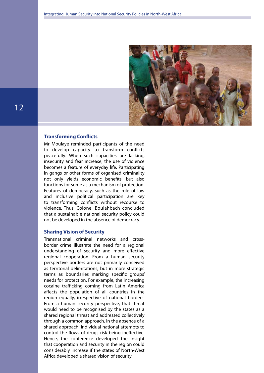

#### **Transforming Conflicts**

Mr Moulaye reminded participants of the need to develop capacity to transform conflicts peacefully. When such capacities are lacking, insecurity and fear increase; the use of violence becomes a feature of everyday life. Participating in gangs or other forms of organised criminality not only yields economic benefits, but also functions for some as a mechanism of protection. Features of democracy, such as the rule of law and inclusive political participation are key to transforming conflicts without recourse to violence. Thus, Colonel Boulahbach concluded that a sustainable national security policy could not be developed in the absence of democracy.

#### **Sharing Vision of Security**

Transnational criminal networks and crossborder crime illustrate the need for a regional understanding of security and more effective regional cooperation. From a human security perspective borders are not primarily conceived as territorial delimitations, but in more strategic terms as boundaries marking specific groups' needs for protection. For example, the increasing cocaine trafficking coming from Latin America affects the population of all countries in the region equally, irrespective of national borders. From a human security perspective, that threat would need to be recognised by the states as a shared regional threat and addressed collectively through a common approach. In the absence of a shared approach, individual national attempts to control the flows of drugs risk being ineffective. Hence, the conference developed the insight that cooperation and security in the region could considerably increase if the states of North-West Africa developed a shared vision of security.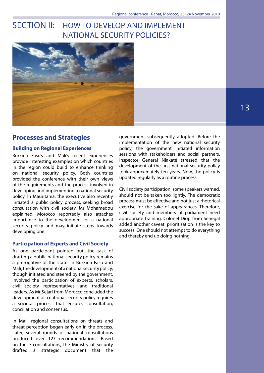## SECTION II: HOW TO DEVELOP AND IMPLEMENT National Security Policies?



### **Processes and Strategies**

#### **Building on Regional Experiences**

Burkina Faso's and Mali's recent experiences provide interesting examples on which countries in the region could build to enhance thinking on national security policy. Both countries provided the conference with their own views of the requirements and the process involved in developing and implementing a national security policy. In Mauritania, the executive also recently initiated a public policy process, seeking broad consultation with civil society, Mr Mohamedou explained. Morocco reportedly also attaches importance to the development of a national security policy and may initiate steps towards developing one.

#### **Participation of Experts and Civil Society**

As one participant pointed out, the task of drafting a public national security policy remains a prerogative of the state. In Burkina Faso and Mali, the development of a national security policy, though initiated and steered by the government, involved the participation of experts, scholars, civil society representatives, and traditional leaders. As Mr Sejari from Morocco concluded the development of a national security policy requires a societal process that ensures consultation, conciliation and consensus.

In Mali, regional consultations on threats and threat perception began early on in the process. Later, several rounds of national consultations produced over 127 recommendations. Based on these consultations, the Ministry of Security drafted a strategic document that the

government subsequently adopted. Before the implementation of the new national security policy, the government initiated information sessions with stakeholders and social partners. Inspector General Niakaté stressed that the development of the first national security policy took approximately ten years. Now, the policy is updated regularly as a routine process.

Civil society participation, some speakers warned, should not be taken too lightly. The democratic process must be effective and not just a rhetorical exercise for the sake of appearances. Therefore, civil society and members of parliament need appropriate training. Colonel Diop from Senegal added another caveat: prioritisation is the key to success. One should not attempt to do everything and thereby end up doing nothing.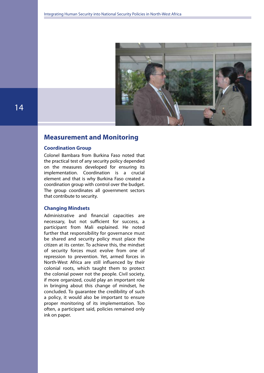

### **Measurement and Monitoring**

#### **Coordination Group**

Colonel Bambara from Burkina Faso noted that the practical test of any security policy depended on the measures developed for ensuring its implementation. Coordination is a crucial element and that is why Burkina Faso created a coordination group with control over the budget. The group coordinates all government sectors that contribute to security.

#### **Changing Mindsets**

Administrative and financial capacities are necessary, but not sufficient for success, a participant from Mali explained. He noted further that responsibility for governance must be shared and security policy must place the citizen at its center. To achieve this, the mindset of security forces must evolve from one of repression to prevention. Yet, armed forces in North-West Africa are still influenced by their colonial roots, which taught them to protect the colonial power not the people. Civil society, if more organized, could play an important role in bringing about this change of mindset, he concluded. To guarantee the credibility of such a policy, it would also be important to ensure proper monitoring of its implementation. Too often, a participant said, policies remained only ink on paper.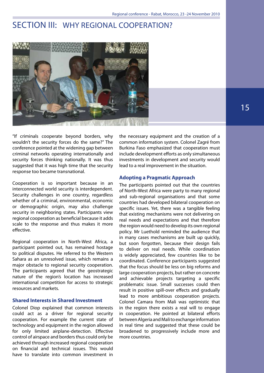### SECTION III: WHY REGIONAL COOPERATION?



"If criminals cooperate beyond borders, why wouldn't the security forces do the same?" The conference pointed at the widening gap between criminal networks operating internationally and security forces thinking nationally. It was thus suggested that it was high time that the security response too became transnational.

Cooperation is so important because in an interconnected world security is interdependent. Security challenges in one country, regardless whether of a criminal, environmental, economic or demographic origin, may also challenge security in neighboring states. Participants view regional cooperation as beneficial because it adds scale to the response and thus makes it more effective.

Regional cooperation in North-West Africa, a participant pointed out, has remained hostage to political disputes. He referred to the Western Sahara as an unresolved issue, which remains a major obstacle to regional security cooperation. The participants agreed that the geostrategic nature of the region's location has increased international competition for access to strategic resources and markets.

#### **Shared Interests in Shared Investment**

Colonel Diop explained that common interests could act as a driver for regional security cooperation. For example the current state of technology and equipment in the region allowed for only limited airplane-detection. Effective control of airspace and borders thus could only be achieved through increased regional cooperation on financial and technical issues. This would have to translate into common investment in

the necessary equipment and the creation of a common information system. Colonel Zagré from Burkina Faso emphasized that cooperation must include development efforts as only simultaneous investments in development and security would lead to a real improvement in the situation.

#### **Adopting a Pragmatic Approach**

The participants pointed out that the countries of North-West Africa were party to many regional and sub-regional organisations and that some countries had developed bilateral cooperation on specific issues. Yet, there was a tangible feeling that existing mechanisms were not delivering on real needs and expectations and that therefore the region would need to develop its own regional policy. Mr Luethold reminded the audience that in many cases mechanisms are built up quickly, but soon forgotten, because their design fails to deliver on real needs. While coordination is widely appreciated, few countries like to be coordinated. Conference participants suggested that the focus should be less on big reforms and large cooperation projects, but rather on concrete and achievable projects targeting a specific problematic issue. Small successes could then result in positive spill-over effects and gradually lead to more ambitious cooperation projects. Colonel Camara from Mali was optimistic that in the region there exists a real will to engage in cooperation. He pointed at bilateral efforts between Algeria and Mali to exchange information in real time and suggested that these could be broadened to progressively include more and more countries.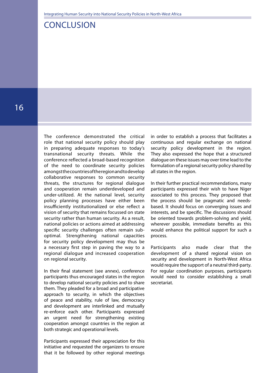### Conclusion

The conference demonstrated the critical role that national security policy should play in preparing adequate responses to today's transnational security threats. While the conference reflected a broad-based recognition of the need to coordinate security policies amongst the countries of the region and to develop collaborative responses to common security threats, the structures for regional dialogue and cooperation remain underdeveloped and under-utilized. At the national level, security policy planning processes have either been insufficiently institutionalized or else reflect a vision of security that remains focussed on state security rather than human security. As a result, national policies or actions aimed at addressing specific security challenges often remain suboptimal. Strengthening national capacities for security policy development may thus be a necessary first step in paving the way to a regional dialogue and increased cooperation on regional security.

In their final statement (see annex), conference participants thus encouraged states in the region to develop national security policies and to share them. They pleaded for a broad and participative approach to security, in which the objectives of peace and stability, rule of law, democracy and development are interlinked and mutually re-enforce each other. Participants expressed an urgent need for strengthening existing cooperation amongst countries in the region at both strategic and operational levels.

Participants expressed their appreciation for this initiative and requested the organizers to ensure that it be followed by other regional meetings

in order to establish a process that facilitates a continuous and regular exchange on national security policy development in the region. They also expressed the hope that a structured dialogue on these issues may over time lead to the formulation of a regional security policy shared by all states in the region.

In their further practical recommendations, many participants expressed their wish to have Niger associated to this process. They proposed that the process should be pragmatic and needsbased. It should focus on converging issues and interests, and be specific. The discussions should be oriented towards problem-solving and yield, wherever possible, immediate benefits as this would enhance the political support for such a process.

Participants also made clear that the development of a shared regional vision on security and development in North-West Africa would require the support of a neutral third-party. For regular coordination purposes, participants would need to consider establishing a small secretariat.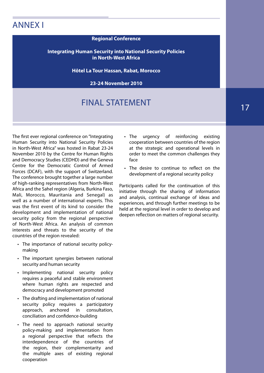## Annex I

#### **Regional Conference**

#### **Integrating Human Security into National Security Policies in North-West Africa**

**Hôtel La Tour Hassan, Rabat, Morocco**

**23-24 November 2010**

# Final Statement

The first ever regional conference on "Integrating Human Security into National Security Policies in North-West Africa" was hosted in Rabat 23-24 November 2010 by the Centre for Human Rights and Democracy Studies (CEDHD) and the Geneva Centre for the Democratic Control of Armed Forces (DCAF), with the support of Switzerland. The conference brought together a large number of high-ranking representatives from North-West Africa and the Sahel region (Algeria, Burkina Faso, Mali, Morocco, Mauritania and Senegal) as well as a number of international experts. This was the first event of its kind to consider the development and implementation of national security policy from the regional perspective of North-West Africa. An analysis of common interests and threats to the security of the countries of the region revealed:

- The importance of national security policymaking
- The important synergies between national security and human security
- • Implementing national security policy requires a peaceful and stable environment where human rights are respected and democracy and development promoted
- The drafting and implementation of national security policy requires a participatory approach, anchored in consultation, conciliation and confidence-building
- The need to approach national security policy-making and implementation from a regional perspective that reflects the interdependence of the countries of the region, their complementarity and the multiple axes of existing regional cooperation
- The urgency of reinforcing existing cooperation between countries of the region at the strategic and operational levels in order to meet the common challenges they face
- The desire to continue to reflect on the development of a regional security policy

Participants called for the continuation of this initiative through the sharing of information and analysis, continual exchange of ideas and experiences, and through further meetings to be held at the regional level in order to develop and deepen reflection on matters of regional security.